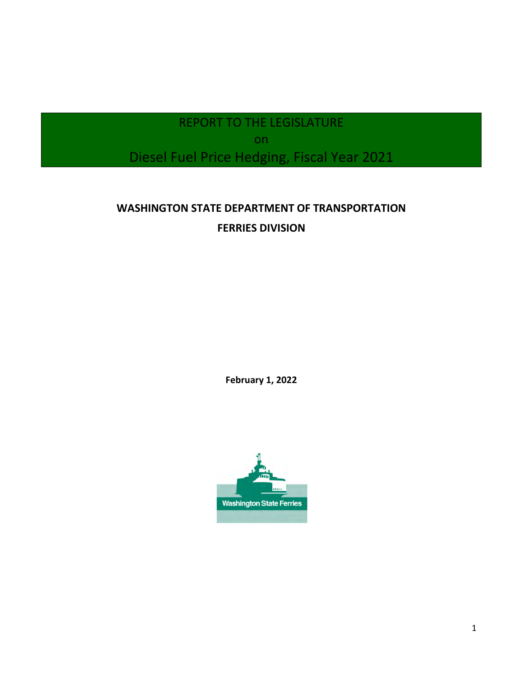# REPORT TO THE LEGISLATURE on Diesel Fuel Price Hedging, Fiscal Year 2021

# **WASHINGTON STATE DEPARTMENT OF TRANSPORTATION FERRIES DIVISION**

**February 1, 2022** 

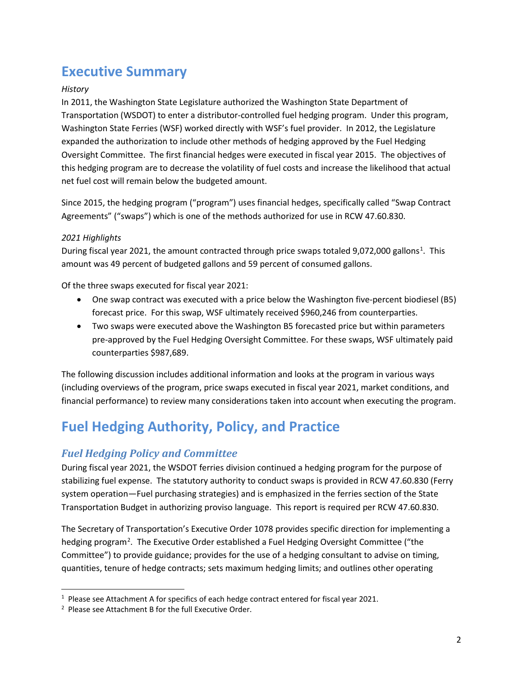# **Executive Summary**

#### *History*

In 2011, the Washington State Legislature authorized the Washington State Department of Transportation (WSDOT) to enter a distributor-controlled fuel hedging program. Under this program, Washington State Ferries (WSF) worked directly with WSF's fuel provider. In 2012, the Legislature expanded the authorization to include other methods of hedging approved by the Fuel Hedging Oversight Committee. The first financial hedges were executed in fiscal year 2015. The objectives of this hedging program are to decrease the volatility of fuel costs and increase the likelihood that actual net fuel cost will remain below the budgeted amount.

Since 2015, the hedging program ("program") uses financial hedges, specifically called "Swap Contract Agreements" ("swaps") which is one of the methods authorized for use in RCW 47.60.830.

### *2021 Highlights*

During fiscal year 202[1](#page-1-0), the amount contracted through price swaps totaled 9,072,000 gallons<sup>1</sup>. This amount was 49 percent of budgeted gallons and 59 percent of consumed gallons.

Of the three swaps executed for fiscal year 2021:

- One swap contract was executed with a price below the Washington five-percent biodiesel (B5) forecast price. For this swap, WSF ultimately received \$960,246 from counterparties.
- Two swaps were executed above the Washington B5 forecasted price but within parameters pre-approved by the Fuel Hedging Oversight Committee. For these swaps, WSF ultimately paid counterparties \$987,689.

The following discussion includes additional information and looks at the program in various ways (including overviews of the program, price swaps executed in fiscal year 2021, market conditions, and financial performance) to review many considerations taken into account when executing the program.

# **Fuel Hedging Authority, Policy, and Practice**

# *Fuel Hedging Policy and Committee*

During fiscal year 2021, the WSDOT ferries division continued a hedging program for the purpose of stabilizing fuel expense. The statutory authority to conduct swaps is provided in RCW 47.60.830 (Fer ry system operation—Fuel purchasing strategies) and is emphasized in the ferries section of the State Transportation Budget in authorizing proviso language. This report is required per RCW 47.60.830.

The Secretary of Transportation's Executive Order 1078 provides specific direction for implementing a hedging program<sup>[2](#page-1-1)</sup>. The Executive Order established a Fuel Hedging Oversight Committee ("the Committee") to provide guidance; provides for the use of a hedging consultant to advise on timing, quantities, tenure of hedge contracts; sets maximum hedging limits; and outlines other operating

<span id="page-1-0"></span><sup>&</sup>lt;sup>1</sup> Please see Attachment A for specifics of each hedge contract entered for fiscal year 2021.<br><sup>2</sup> Please see Attachment B for the full Executive Order

<span id="page-1-1"></span><sup>&</sup>lt;sup>2</sup> Please see Attachment B for the full Executive Order.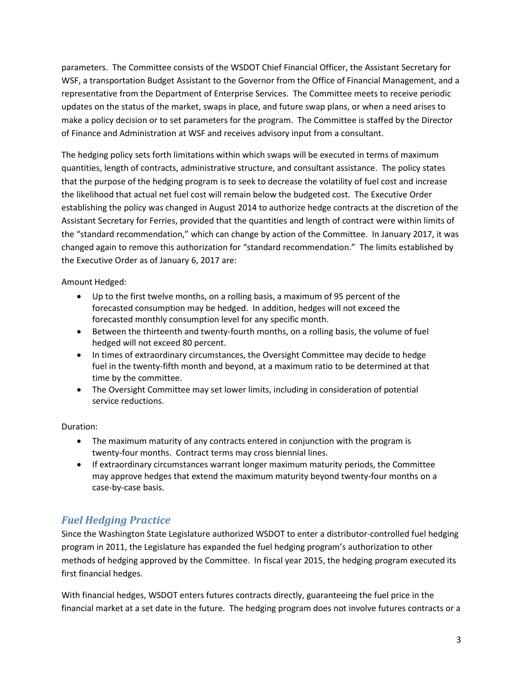parameters. The Committee consists of the WSDOT Chief Financial Officer, the Assistant Secretary for WSF, a transportation Budget Assistant to the Governor from the Office of Financial Management, and a representative from the Department of Enterprise Services. The Committee meets to receive periodic updates on the status of the market, swaps in place, and future swap plans, or when a need arises to make a policy decision or to set parameters for the program. The Committee is staffed by the Director of Finance and Administration at WSF and receives advisory input from a consultant.

The hedging policy sets forth limitations within which swaps will be executed in terms of maximum quantities, length of contracts, administrative structure, and consultant assistance. The policy states that the purpose of the hedging program is to seek to decrease the volatility of fuel cost and increase the likelihood that actual net fuel cost will remain below the budgeted cost. The Executive Order establishing the policy was changed in August 2014 to authorize hedge contracts at the discretion of the Assistant Secretary for Ferries, provided that the quantities and length of contract were within limits of the "standard recommendation," which can change by action of the Committee. In January 2017, it was changed again to remove this authorization for "standard recommendation." The limits established by the Executive Order as of January 6, 2017 are:

Amount Hedged:

- Up to the first twelve months, on a rolling basis, a maximum of 95 percent of the forecasted consumption may be hedged. In addition, hedges will not exceed the forecasted monthly consumption level for any specific month.
- Between the thirteenth and twenty-fourth months, on a rolling basis, the volume of fuel hedged will not exceed 80 percent.
- In times of extraordinary circumstances, the Oversight Committee may decide to hedge fuel in the twenty-fifth month and beyond, at a maximum ratio to be determined at that time by the committee.
- The Oversight Committee may set lower limits, including in consideration of potential service reductions.

#### Duration:

- The maximum maturity of any contracts entered in conjunction with the program is twenty-four months. Contract terms may cross biennial lines.
- If extraordinary circumstances warrant longer maximum maturity periods, the Committee may approve hedges that extend the maximum maturity beyond twenty-four months on a case-by-case basis.

# *Fuel Hedging Practice*

Since the Washington State Legislature authorized WSDOT to enter a distributor-controlled fuel hedging program in 2011, the Legislature has expanded the fuel hedging program's authorization to other methods of hedging approved by the Committee. In fiscal year 2015, the hedging program executed its first financial hedges.

With financial hedges, WSDOT enters futures contracts directly, guaranteeing the fuel price in the financial market at a set date in the future. The hedging program does not involve futures contracts or a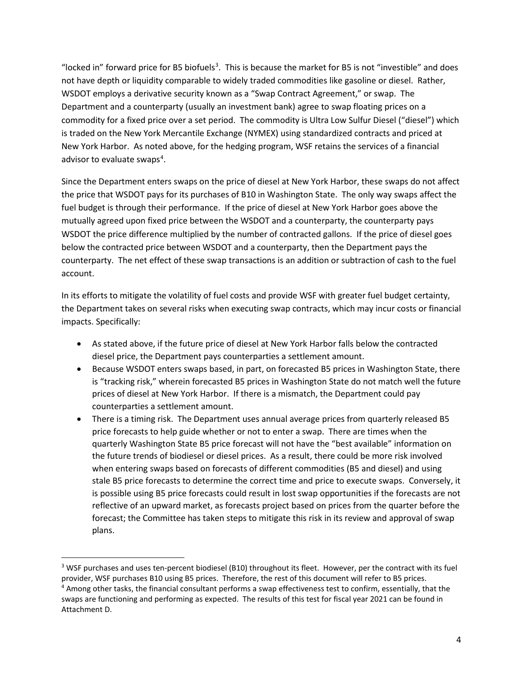"locked in" forward price for B5 biofuels<sup>[3](#page-3-0)</sup>. This is because the market for B5 is not "investible" and does not have depth or liquidity comparable to widely traded commodities like gasoline or diesel. Rather, WSDOT employs a derivative security known as a "Swap Contract Agreement," or swap. The Department and a counterparty (usually an investment bank) agree to swap floating prices on a commodity for a fixed price over a set period. The commodity is Ultra Low Sulfur Diesel ("diesel") which is traded on the New York Mercantile Exchange (NYMEX) using standardized contracts and priced at New York Harbor. As noted above, for the hedging program, WSF retains the services of a financial advisor to evaluate swaps<sup>[4](#page-3-1)</sup>.

Since the Department enters swaps on the price of diesel at New York Harbor, these swaps do not affect the price that WSDOT pays for its purchases of B10 in Washington State. The only way swaps affect the fuel budget is through their performance. If the price of diesel at New York Harbor goes above the mutually agreed upon fixed price between the WSDOT and a counterparty, the counterparty pays WSDOT the price difference multiplied by the number of contracted gallons. If the price of diesel goes below the contracted price between WSDOT and a counterparty, then the Department pays the counterparty. The net effect of these swap transactions is an addition or subtraction of cash to the fuel account.

In its efforts to mitigate the volatility of fuel costs and provide WSF with greater fuel budget certainty, the Department takes on several risks when executing swap contracts, which may incur costs or financial impacts. Specifically:

- As stated above, if the future price of diesel at New York Harbor falls below the contracted diesel price, the Department pays counterparties a settlement amount.
- Because WSDOT enters swaps based, in part, on forecasted B5 prices in Washington State, there is "tracking risk," wherein forecasted B5 prices in Washington State do not match well the future prices of diesel at New York Harbor. If there is a mismatch, the Department could pay counterparties a settlement amount.
- There is a timing risk. The Department uses annual average prices from quarterly released B5 price forecasts to help guide whether or not to enter a swap. There are times when the quarterly Washington State B5 price forecast will not have the "best available" information on the future trends of biodiesel or diesel prices. As a result, there could be more risk involved when entering swaps based on forecasts of different commodities (B5 and diesel) and using stale B5 price forecasts to determine the correct time and price to execute swaps. Conversely, it is possible using B5 price forecasts could result in lost swap opportunities if the forecasts are not reflective of an upward market, as forecasts project based on prices from the quarter before the forecast; the Committee has taken steps to mitigate this risk in its review and approval of swap plans.

<span id="page-3-1"></span><span id="page-3-0"></span> $3$  WSF purchases and uses ten-percent biodiesel (B10) throughout its fleet. However, per the contract with its fuel provider, WSF purchases B10 using B5 prices. Therefore, the rest of this document will refer to B5 prices. <sup>4</sup> Among other tasks, the financial consultant performs a swap effectiveness test to confirm, essentially, that the swaps are functioning and performing as expected. The results of this test for fiscal year 2021 can be found in Attachment D.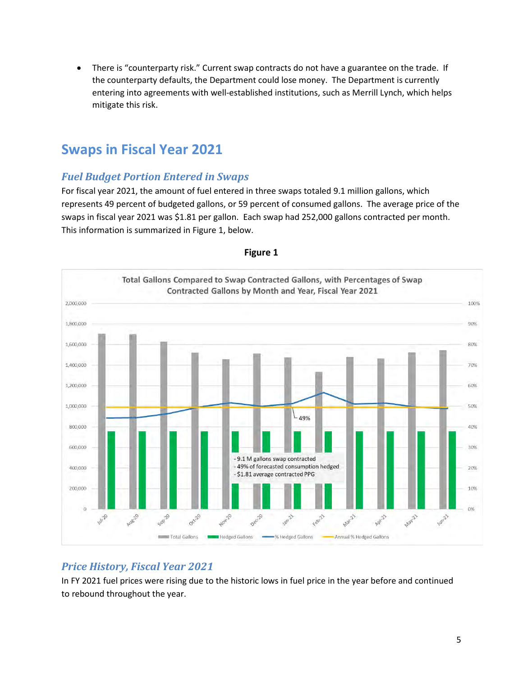• There is "counterparty risk." Current swap contracts do not have a guarantee on the trade. If the counterparty defaults, the Department could lose money. The Department is currently entering into agreements with well-established institutions, such as Merrill Lynch, which helps mitigate this risk.

# **Swaps in Fiscal Year 2021**

# *Fuel Budget Portion Entered in Swaps*

For fiscal year 2021, the amount of fuel entered in three swaps totaled 9.1 million gallons, which represents 49 percent of budgeted gallons, or 59 percent of consumed gallons. The average price of the swaps in fiscal year 2021 was \$1.81 per gallon. Each swap had 252,000 gallons contracted per month . This information is summarized in Figure 1, below.



#### **Figure 1**

# *Price History, Fiscal Year 2021*

In FY 2021 fuel prices were rising due to the historic lows in fuel price in the year before and continued to rebound throughout the year.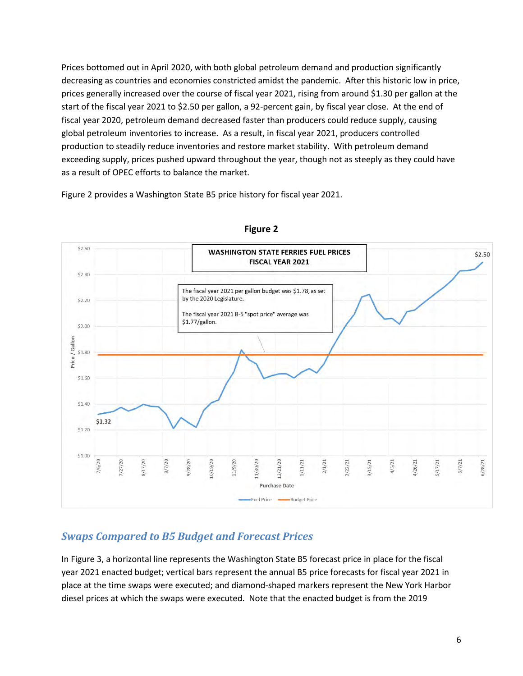Prices bottomed out in April 2020, with both global petroleum demand and production significantly decreasing as countries and economies constricted amidst the pandemic. After this historic low in price, prices generally increased over the course of fiscal year 2021, rising from around \$1.30 per gallon at the start of the fiscal year 2021 to \$2.50 per gallon, a 92-percent gain, by fiscal year close. At the end of fiscal year 2020, petroleum demand decreased faster than producers could reduce supply, causing global petroleum inventories to increase. As a result, in fiscal year 2021, producers controlled production to steadily reduce inventories and restore market stability. With petroleum demand exceeding supply, prices pushed upward throughout the year, though not as steeply as they could have as a result of OPEC efforts to balance the market.

Figure 2 provides a Washington State B5 price history for fiscal year 2021.



#### **Figure 2**

# *Swaps Compared to B5 Budget and Forecast Prices*

In Figure 3, a horizontal line represents the Washington State B5 forecast price in place for the fiscal year 2021 enacted budget; vertical bars represent the annual B5 price forecasts for fiscal year 2021 in place at the time swaps were executed; and diamond-shaped markers represent the New York Harbor diesel prices at which the swaps were executed. Note that the enacted budget is from the 2019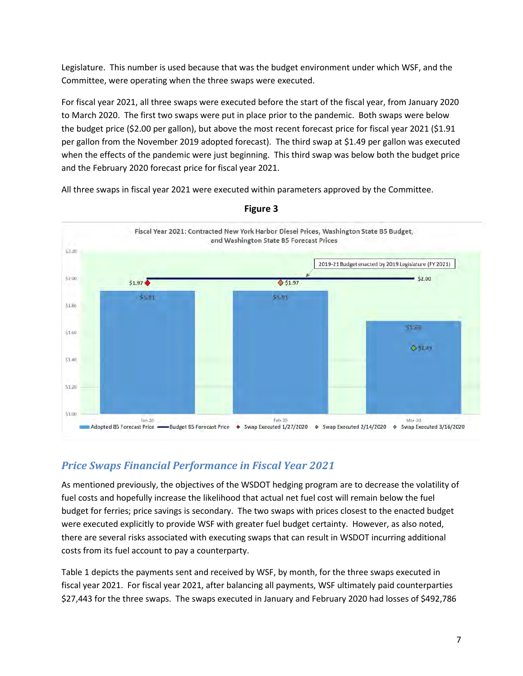Legislature. This number is used because that was the budget environment under which WSF, and the Committee, were operating when the three swaps were executed.

For fiscal year 2021, all three swaps were executed before the start of the fiscal year, from January 2020 to March 2020. The first two swaps were put in place prior to the pandemic. Both swaps were below the budget price (\$2.00 per gallon), but above the most recent forecast price for fiscal year 2021 (\$1.91 per gallon from the November 2019 adopted forecast). The third swap at \$1.49 per gallon was executed when the effects of the pandemic were just beginning. This third swap was below both the budget price and the February 2020 forecast price for fiscal year 2021.

All three swaps in fiscal year 2021 were executed within parameters approved by the Committee.



**Figure 3** 

# *Price Swaps Financial Performance in Fiscal Year 2021*

As mentioned previously, the objectives of the WSDOT hedging program are to decrease the volatility of fuel costs and hopefully increase the likelihood that actual net fuel cost will remain below the fuel budget for ferries; price savings is secondary. The two swaps with prices closest to the enacted budget were executed explicitly to provide WSF with greater fuel budget certainty. However, as also noted, there are several risks associated with executing swaps that can result in WSDOT incurring additional costs from its fuel account to pay a counterparty.

Table 1 depicts the payments sent and received by WSF, by month, for the three swaps executed in fiscal year 2021. For fiscal year 2021, after balancing all payments, WSF ultimately paid counterparties \$27,443 for the three swaps. The swaps executed in January and February 2020 had losses of \$492,786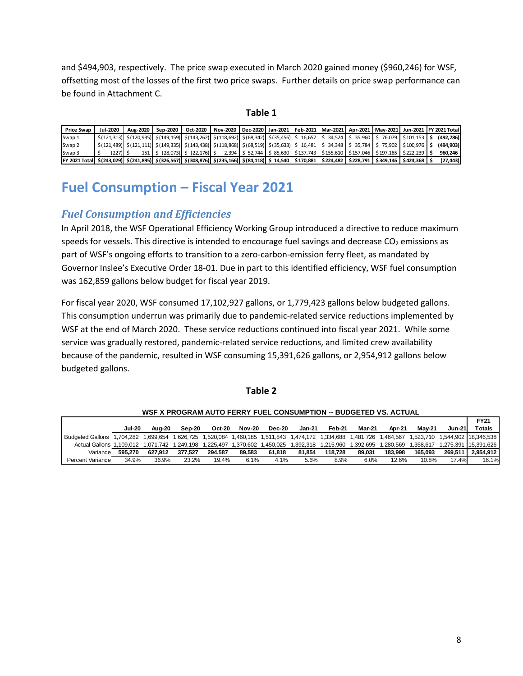and \$494,903, respectively. The price swap executed in March 2020 gained money (\$960,246) for WSF, offsetting most of the losses of the first two price swaps. Further details on price swap performance can be found in Attachment C.

#### **Table 1**

| <b>Price Swap</b>                                                                                                                                                  | Jul-2020                                                                                                                                                                                                                                                 | Aug-2020 | Sep-2020 |                                                                                                                                | Oct-2020   Nov-2020   Dec-2020   Jan-2021   Feb-2021   Mar-2021   Apr-2021   May-2021   Jun-2021   FY 2021 Total |  |  |  |  |           |
|--------------------------------------------------------------------------------------------------------------------------------------------------------------------|----------------------------------------------------------------------------------------------------------------------------------------------------------------------------------------------------------------------------------------------------------|----------|----------|--------------------------------------------------------------------------------------------------------------------------------|------------------------------------------------------------------------------------------------------------------|--|--|--|--|-----------|
| Swap 1                                                                                                                                                             | $\vert$ \$(121,313) $\vert$ \$(120,935) $\vert$ \$(149,159) $\vert$ \$(143,262) $\vert$ \$(118,692) $\vert$ \$(68,342) $\vert$ \$(35,456) $\vert$ \$ 16,657 $\vert$ \$ 34,524 $\vert$ \$ 35,960 $\vert$ \$ 76,079 $\vert$ \$101,153 $\vert$ \$ (492,786) |          |          |                                                                                                                                |                                                                                                                  |  |  |  |  |           |
| Swap <sub>2</sub>                                                                                                                                                  | \$ (121,489)  \$ (121,111)  \$ (149,335)  \$ (143,438)  \$ (118,868)  \$ (68,519)  \$ (35,633)  \$ 16,481   \$ 34,348   \$ 35,784   \$ 75,902   \$100,976   \$                                                                                           |          |          |                                                                                                                                |                                                                                                                  |  |  |  |  | (494,903) |
| Swap <sub>3</sub>                                                                                                                                                  | (227) I S                                                                                                                                                                                                                                                |          |          | 151   \$ (28,073)   \$ (22,176)   \$ 2,394   \$ 52,744   \$ 85,630   \$137,743   \$155,610   \$157,046   \$197,165   \$222,239 |                                                                                                                  |  |  |  |  | 960.246   |
| FY 2021 Total   \$(243,029)  \$(241,895)  \$(326,567)  \$(308,876)  \$(235,166)  \$(84,118)  \$ 14,540   \$170,881   \$224,482   \$228,791   \$349,146   \$424,368 |                                                                                                                                                                                                                                                          |          |          |                                                                                                                                |                                                                                                                  |  |  |  |  | (27, 443) |

# **Fuel Consumption – Fiscal Year 2021**

## *Fuel Consumption and Efficiencies*

In April 2018, the WSF Operational Efficiency Working Group introduced a directive to reduce maximum speeds for vessels. This directive is intended to encourage fuel savings and decrease  $CO<sub>2</sub>$  emissions as part of WSF's ongoing efforts to transition to a zero-carbon-emission ferry fleet, as mandated by Governor Inslee's Executive Order 18-01. Due in part to this identified efficiency, WSF fuel consumption was 162,859 gallons below budget for fiscal year 2019.

For fiscal year 2020, WSF consumed 17,102,927 gallons, or 1,779,423 gallons below budgeted gallons. This consumption underrun was primarily due to pandemic-related service reductions implemented by WSF at the end of March 2020. These service reductions continued into fiscal year 2021. While some service was gradually restored, pandemic-related service reductions, and limited crew availability because of the pandemic, resulted in WSF consuming 15,391,626 gallons, or 2,954,912 gallons below budgeted gallons.

#### **Table 2**

|                                                                                                                    |               |         |         |               |               |        |        |         |                                                                                 |         |               |               | <b>FY21</b>                    |
|--------------------------------------------------------------------------------------------------------------------|---------------|---------|---------|---------------|---------------|--------|--------|---------|---------------------------------------------------------------------------------|---------|---------------|---------------|--------------------------------|
|                                                                                                                    | <b>Jul-20</b> | Aua-20  | Sep-20  | <b>Oct-20</b> | <b>Nov-20</b> | Dec-20 | Jan-21 | Feb-21  | Mar-21                                                                          | Apr-21  | <b>Mav-21</b> | <b>Jun-21</b> | Totals                         |
| Budgeted Gallons 1.704.282 1.699.654                                                                               |               |         |         |               |               |        |        |         | 1,626,725 1,520,084 1,460,185 1,511,843 1,474,172 1,334,688 1,481,726 1,464,567 |         |               |               | 1,523,710 1,544,902 18,346,538 |
| Actual Gallons 1,109,012 1,071,742 1,249,198 1,225,497 1,370,602 1,450,025 1,392,318 1,215,960 1,392,695 1,280,569 |               |         |         |               |               |        |        |         |                                                                                 |         | 1.358.617     |               | 1.275.391 15.391.626           |
| Variance                                                                                                           | 595.270       | 627.912 | 377.527 | 294.587       | 89.583        | 61.818 | 81.854 | 118.728 | 89.031                                                                          | 183.998 | 165.093       | 269.511       | 2.954.912                      |
| Percent Variance                                                                                                   | 34.9%         | 36.9%   | 23.2%   | 19.4%         | 6.1%          | 4.1%   | 5.6%   | 8.9%    | 6.0%                                                                            | 12.6%   | 10.8%         | 17.4%         | 16.1%                          |

#### **WSF X PROGRAM AUTO FERRY FUEL CONSUMPTION -- BUDGETED VS. ACTUAL**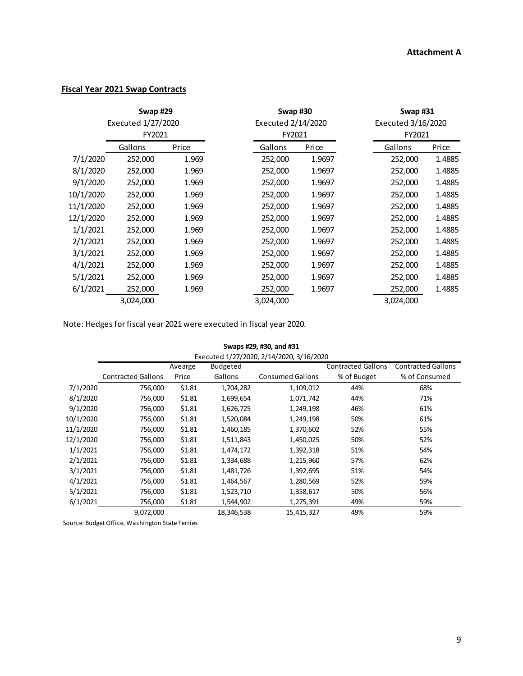### **Fiscal Year 2021 Swap Contracts**

|           | Swap #29           |       |                    |           | Swap #30 | <b>Swap #31</b>    |           |        |  |  |
|-----------|--------------------|-------|--------------------|-----------|----------|--------------------|-----------|--------|--|--|
|           | Executed 1/27/2020 |       | Executed 2/14/2020 |           |          | Executed 3/16/2020 |           |        |  |  |
|           | FY2021             |       |                    | FY2021    |          | FY2021             |           |        |  |  |
|           | Gallons            | Price |                    | Gallons   | Price    |                    | Gallons   | Price  |  |  |
| 7/1/2020  | 252,000            | 1.969 |                    | 252,000   | 1.9697   |                    | 252,000   | 1.4885 |  |  |
| 8/1/2020  | 252,000            | 1.969 |                    | 252,000   | 1.9697   |                    | 252,000   | 1.4885 |  |  |
| 9/1/2020  | 252,000            | 1.969 |                    | 252,000   | 1.9697   |                    | 252,000   | 1.4885 |  |  |
| 10/1/2020 | 252,000            | 1.969 |                    | 252,000   | 1.9697   |                    | 252,000   | 1.4885 |  |  |
| 11/1/2020 | 252,000            | 1.969 |                    | 252,000   | 1.9697   |                    | 252,000   | 1.4885 |  |  |
| 12/1/2020 | 252,000            | 1.969 |                    | 252,000   | 1.9697   |                    | 252,000   | 1.4885 |  |  |
| 1/1/2021  | 252,000            | 1.969 |                    | 252,000   | 1.9697   |                    | 252,000   | 1.4885 |  |  |
| 2/1/2021  | 252,000            | 1.969 |                    | 252,000   | 1.9697   |                    | 252,000   | 1.4885 |  |  |
| 3/1/2021  | 252,000            | 1.969 |                    | 252,000   | 1.9697   |                    | 252,000   | 1.4885 |  |  |
| 4/1/2021  | 252,000            | 1.969 |                    | 252,000   | 1.9697   |                    | 252,000   | 1.4885 |  |  |
| 5/1/2021  | 252,000            | 1.969 |                    | 252,000   | 1.9697   |                    | 252,000   | 1.4885 |  |  |
| 6/1/2021  | 252,000            | 1.969 |                    | 252,000   | 1.9697   |                    | 252,000   | 1.4885 |  |  |
|           | 3,024,000          |       |                    | 3,024,000 |          |                    | 3,024,000 |        |  |  |

Note: Hedges for fiscal year 2021 were executed in fiscal year 2020.

| Swaps #29, #30, and #31 |  |  |  |  |
|-------------------------|--|--|--|--|
|-------------------------|--|--|--|--|

|           | Executed 1/27/2020, 2/14/2020, 3/16/2020 |         |                 |                         |                           |                           |  |  |  |  |  |  |  |
|-----------|------------------------------------------|---------|-----------------|-------------------------|---------------------------|---------------------------|--|--|--|--|--|--|--|
|           |                                          | Avearge | <b>Budgeted</b> |                         | <b>Contracted Gallons</b> | <b>Contracted Gallons</b> |  |  |  |  |  |  |  |
|           | <b>Contracted Gallons</b>                | Price   | Gallons         | <b>Consumed Gallons</b> | % of Budget               | % of Consumed             |  |  |  |  |  |  |  |
| 7/1/2020  | 756,000                                  | \$1.81  | 1,704,282       | 1,109,012               | 44%                       | 68%                       |  |  |  |  |  |  |  |
| 8/1/2020  | 756,000                                  | \$1.81  | 1,699,654       | 1,071,742               | 44%                       | 71%                       |  |  |  |  |  |  |  |
| 9/1/2020  | 756,000                                  | \$1.81  | 1,626,725       | 1,249,198               | 46%                       | 61%                       |  |  |  |  |  |  |  |
| 10/1/2020 | 756,000                                  | \$1.81  | 1,520,084       | 1,249,198               | 50%                       | 61%                       |  |  |  |  |  |  |  |
| 11/1/2020 | 756,000                                  | \$1.81  | 1,460,185       | 1,370,602               | 52%                       | 55%                       |  |  |  |  |  |  |  |
| 12/1/2020 | 756,000                                  | \$1.81  | 1,511,843       | 1,450,025               | 50%                       | 52%                       |  |  |  |  |  |  |  |
| 1/1/2021  | 756,000                                  | \$1.81  | 1,474,172       | 1,392,318               | 51%                       | 54%                       |  |  |  |  |  |  |  |
| 2/1/2021  | 756,000                                  | \$1.81  | 1,334,688       | 1,215,960               | 57%                       | 62%                       |  |  |  |  |  |  |  |
| 3/1/2021  | 756,000                                  | \$1.81  | 1,481,726       | 1,392,695               | 51%                       | 54%                       |  |  |  |  |  |  |  |
| 4/1/2021  | 756,000                                  | \$1.81  | 1,464,567       | 1,280,569               | 52%                       | 59%                       |  |  |  |  |  |  |  |
| 5/1/2021  | 756,000                                  | \$1.81  | 1,523,710       | 1,358,617               | 50%                       | 56%                       |  |  |  |  |  |  |  |
| 6/1/2021  | 756,000                                  | \$1.81  | 1,544,902       | 1,275,391               | 49%                       | 59%                       |  |  |  |  |  |  |  |
|           | 9,072,000                                |         | 18,346,538      | 15,415,327              | 49%                       | 59%                       |  |  |  |  |  |  |  |

Source: Budget Office, Washington State Ferries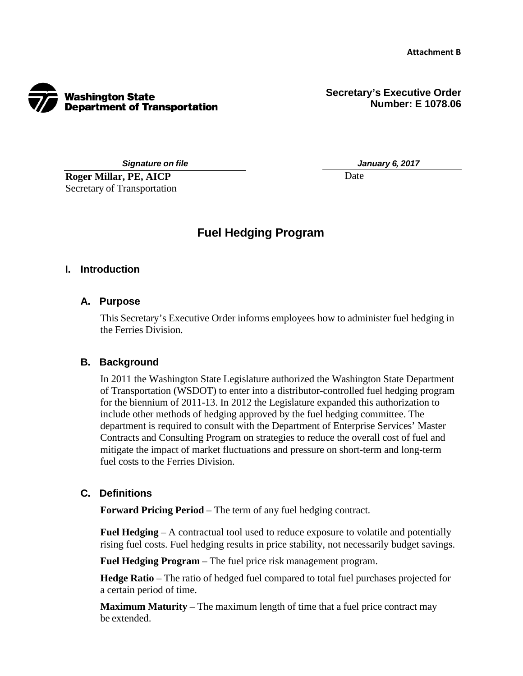

**Secretary's Executive Order Number: E 1078.06**

*Signature on file*

**Roger Millar, PE, AICP**  Secretary of Transportation *January 6, 2017* 

Date

# **Fuel Hedging Program**

#### **I. Introduction**

#### **A. Purpose**

This Secretary's Executive Order informs employees how to administer fuel hedging in the Ferries Division.

#### **B. Background**

In 2011 the Washington State Legislature authorized the Washington State Department of Transportation (WSDOT) to enter into a distributor-controlled fuel hedging program for the biennium of 2011-13. In 2012 the Legislature expanded this authorization to include other methods of hedging approved by the fuel hedging committee. The department is required to consult with the Department of Enterprise Services' Master Contracts and Consulting Program on strategies to reduce the overall cost of fuel and mitigate the impact of market fluctuations and pressure on short-term and long-term fuel costs to the Ferries Division.

#### **C. Definitions**

**Forward Pricing Period** – The term of any fuel hedging contract.

**Fuel Hedging** – A contractual tool used to reduce exposure to volatile and potentially rising fuel costs. Fuel hedging results in price stability, not necessarily budget savings.

**Fuel Hedging Program** – The fuel price risk management program.

**Hedge Ratio** – The ratio of hedged fuel compared to total fuel purchases projected for a certain period of time.

**Maximum Maturity** – The maximum length of time that a fuel price contract may be extended.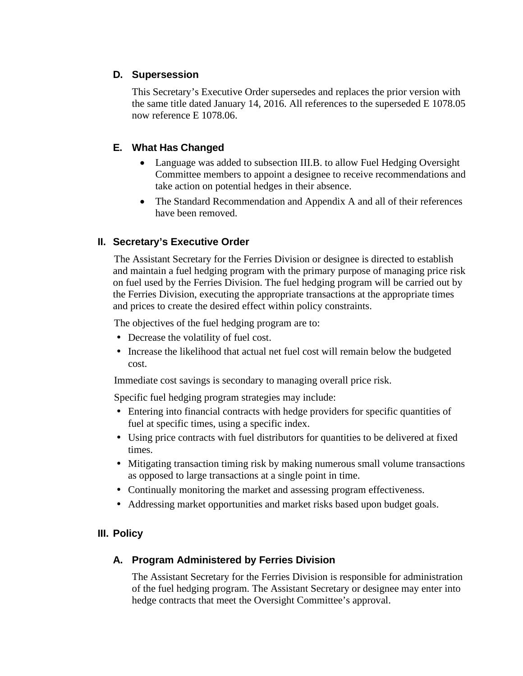## **D. Supersession**

This Secretary's Executive Order supersedes and replaces the prior version with the same title dated January 14, 2016. All references to the superseded E 1078.05 now reference E 1078.06.

## **E. What Has Changed**

- Language was added to subsection III.B. to allow Fuel Hedging Oversight Committee members to appoint a designee to receive recommendations and take action on potential hedges in their absence.
- The Standard Recommendation and Appendix A and all of their references have been removed.

## **II. Secretary's Executive Order**

The Assistant Secretary for the Ferries Division or designee is directed to establish and maintain a fuel hedging program with the primary purpose of managing price risk on fuel used by the Ferries Division. The fuel hedging program will be carried out by the Ferries Division, executing the appropriate transactions at the appropriate times and prices to create the desired effect within policy constraints.

The objectives of the fuel hedging program are to:

- Decrease the volatility of fuel cost.
- Increase the likelihood that actual net fuel cost will remain below the budgeted cost.

Immediate cost savings is secondary to managing overall price risk.

Specific fuel hedging program strategies may include:

- Entering into financial contracts with hedge providers for specific quantities of fuel at specific times, using a specific index.
- Using price contracts with fuel distributors for quantities to be delivered at fixed times.
- Mitigating transaction timing risk by making numerous small volume transactions as opposed to large transactions at a single point in time.
- Continually monitoring the market and assessing program effectiveness.
- Addressing market opportunities and market risks based upon budget goals.

## **III. Policy**

## **A. Program Administered by Ferries Division**

The Assistant Secretary for the Ferries Division is responsible for administratio n of the fuel hedging program. The Assistant Secretary or designee may enter int ohedge contracts that meet the Oversight Committee's approval.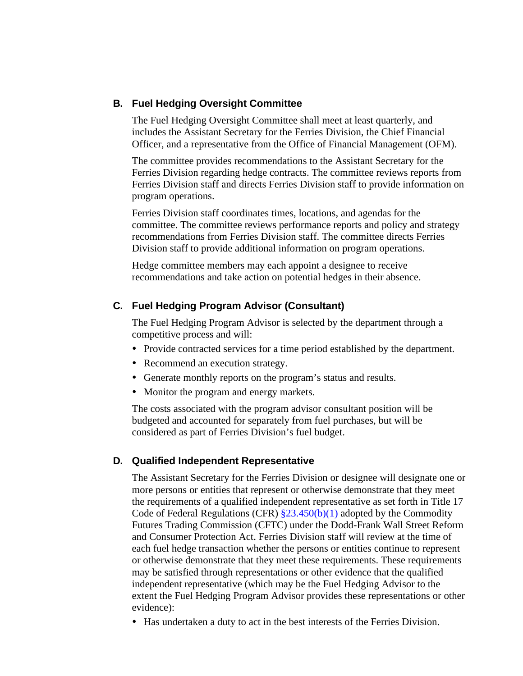#### **B. Fuel Hedging Oversight Committee**

The Fuel Hedging Oversight Committee shall meet at least quarterly, and includes the Assistant Secretary for the Ferries Division, the Chief Financial Officer, and a representative from the Office of Financial Management (OFM).

The committee provides recommendations to the Assistant Secretary for the Ferries Division regarding hedge contracts. The committee reviews reports from Ferries Division staff and directs Ferries Division staff to provide information on program operations.

Ferries Division staff coordinates times, locations, and agendas for the committee. The committee reviews performance reports and policy and strategy recommendations from Ferries Division staff. The committee directs Ferries Division staff to provide additional information on program operations.

Hedge committee members may each appoint a designee to receive recommendations and take action on potential hedges in their absence.

#### **C. Fuel Hedging Program Advisor (Consultant)**

The Fuel Hedging Program Advisor is selected by the department through a competitive process and will:

- Provide contracted services for a time period established by the department.
- Recommend an execution strategy.
- Generate monthly reports on the program's status and results.
- Monitor the program and energy markets.

The costs associated with the program advisor consultant position will be budgeted and accounted for separately from fuel purchases, but will be considered as part of Ferries Division's fuel budget.

#### **D. Qualified Independent Representative**

The Assistant Secretary for the Ferries Division or designee will designate one or more persons or entities that represent or otherwise demonstrate that they meet the requirements of a qualified independent representative as set forth in Title 17 Code of Federal Regulations (CFR)  $\S 23.450(b)(1)$  adopted by the Commodity Futures Trading Commission (CFTC) under the Dodd-Frank Wall Street Reform and Consumer Protection Act. Ferries Division staff will review at the time of each fuel hedge transaction whether the persons or entities continue to represent or otherwise demonstrate that they meet these requirements. These requirements may be satisfied through representations or other evidence that the qualified independent representative (which may be the Fuel Hedging Advisor to the extent the Fuel Hedging Program Advisor provides these representations or other evidence):

Has undertaken a duty to act in the best interests of the Ferries Division.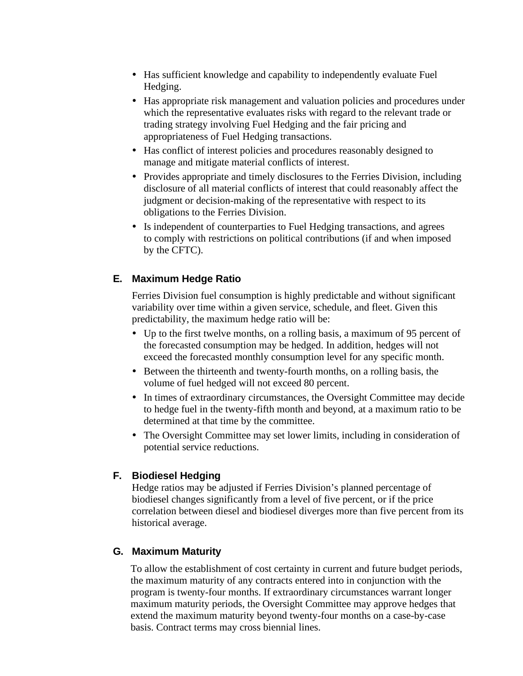- Has sufficient knowledge and capability to independently evaluate Fuel Hedging.
- Has appropriate risk management and valuation policies and procedures under which the representative evaluates risks with regard to the relevant trade or trading strategy involving Fuel Hedging and the fair pricing and appropriateness of Fuel Hedging transactions.
- Has conflict of interest policies and procedures reasonably designed to manage and mitigate material conflicts of interest.
- Provides appropriate and timely disclosures to the Ferries Division, including disclosure of all material conflicts of interest that could reasonably affect the judgment or decision-making of the representative with respect to its obligations to the Ferries Division.
- Is independent of counterparties to Fuel Hedging transactions, and agrees to comply with restrictions on political contributions (if and when imposed by the CFTC).

## **E. Maximum Hedge Ratio**

Ferries Division fuel consumption is highly predictable and without significant variability over time within a given service, schedule, and fleet. Given this predictability, the maximum hedge ratio will be:

- Up to the first twelve months, on a rolling basis, a maximum of 95 percent of the forecasted consumption may be hedged. In addition, hedges will not exceed the forecasted monthly consumption level for any specific month.
- Between the thirteenth and twenty-fourth months, on a rolling basis, the volume of fuel hedged will not exceed 80 percent.
- In times of extraordinary circumstances, the Oversight Committee may decide to hedge fuel in the twenty-fifth month and beyond, at a maximum ratio to be determined at that time by the committee.
- The Oversight Committee may set lower limits, including in consideration of potential service reductions.

### **F. Biodiesel Hedging**

Hedge ratios may be adjusted if Ferries Division's planned percentage of biodiesel changes significantly from a level of five percent, or if the price correlation between diesel and biodiesel diverges more than five percent from its historical average.

### **G. Maximum Maturity**

To allow the establishment of cost certainty in current and future budget periods, the maximum maturity of any contracts entered into in conjunction with the program is twenty-four months. If extraordinary circumstances warrant longer maximum maturity periods, the Oversight Committee may approve hedges that extend the maximum maturity beyond twenty-four months on a case-by-case basis. Contract terms may cross biennial lines.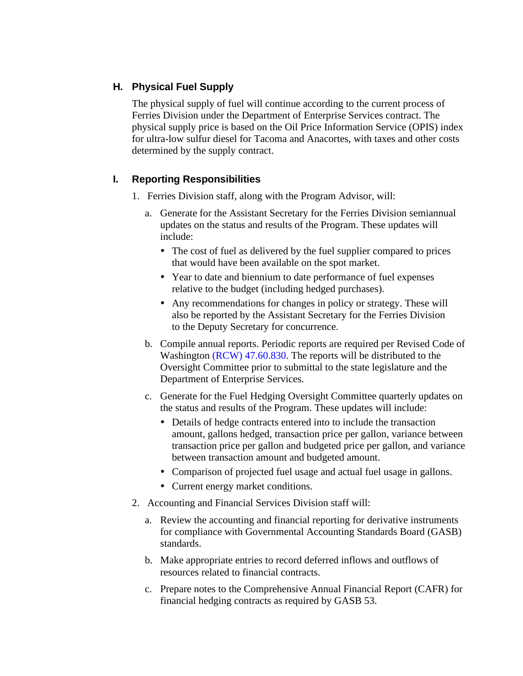# **H. Physical Fuel Supply**

The physical supply of fuel will continue according to the current process of Ferries Division under the Department of Enterprise Services contract. The physical supply price is based on the Oil Price Information Service (OPIS) inde x for ultra-low sulfur diesel for Tacoma and Anacortes, with taxes and other costs determined by the supply contract.

## **I. Reporting Responsibilities**

- 1. Ferries Division staff, along with the Program Advisor, will:
	- a. Generate for the Assistant Secretary for the Ferries Division semiannual updates on the status and results of the Program. These updates will include:
		- The cost of fuel as delivered by the fuel supplier compared to prices that would have been available on the spot market.
		- Year to date and biennium to date performance of fuel expenses relative to the budget (including hedged purchases).
		- Any recommendations for changes in policy or strategy. These will also be reported by the Assistant Secretary for the Ferries Division to the Deputy Secretary for concurrence.
	- b. Compile annual reports. Periodic reports are required per Revised Code of Washington [\(RCW\) 47.60.830.](http://apps.leg.wa.gov/rcw/default.aspx?cite=47.60.830) The reports will be distributed to the Oversight Committee prior to submittal to the state legislature and the Department of Enterprise Services.
	- c. Generate for the Fuel Hedging Oversight Committee quarterly updates on the status and results of the Program. These updates will include:
		- Details of hedge contracts entered into to include the transaction amount, gallons hedged, transaction price per gallon, variance between transaction price per gallon and budgeted price per gallon, and variance between transaction amount and budgeted amount.
		- Comparison of projected fuel usage and actual fuel usage in gallons.
		- Current energy market conditions.
- 2. Accounting and Financial Services Division staff will:
	- a. Review the accounting and financial reporting for derivative instruments for compliance with Governmental Accounting Standards Board (GASB) standards.
	- b. Make appropriate entries to record deferred inflows and outflows of resources related to financial contracts.
	- c. Prepare notes to the Comprehensive Annual Financial Report (CAFR) for financial hedging contracts as required by GASB 53.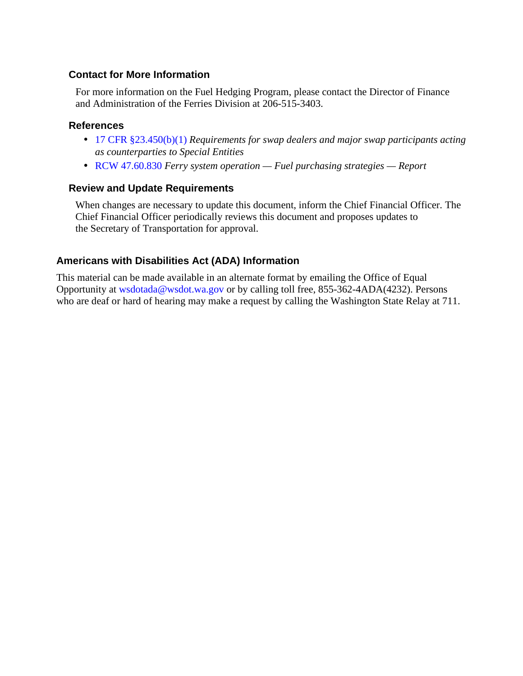### **Contact for More Information**

For more information on the Fuel Hedging Program, please contact the Director of Finance and Administration of the Ferries Division at 206-515-3403.

#### **References**

- [17 CFR §23.450\(b\)\(1\)](http://www.ecfr.gov/cgi-bin/text-idx?SID=5fb13bf5399824d5ae7c6eda5a345317&node=17:1.0.1.1.22.4.7.15&rgn=div8) *Requirements for swap dealers and major swap participants acting as counterparties to Special Entities*
- [RCW 47.60.830](http://apps.leg.wa.gov/rcw/default.aspx?cite=47.60.830) *Ferry system operation Fuel purchasing strategies Report*

#### **Review and Update Requirements**

When changes are necessary to update this document, inform the Chief Financial Officer. The Chief Financial Officer periodically reviews this document and proposes updates to the Secretary of Transportation for approval.

## **Americans with Disabilities Act (ADA) Information**

This material can be made available in an alternate format by emailing the Office of Equal Opportunity at [wsdotada@wsdot.wa.gov o](mailto:wsdotada@wsdot.wa.gov)r by calling toll free, 855-362-4ADA(4232). Persons who are deaf or hard of hearing may make a request by calling the Washington State Relay at 711.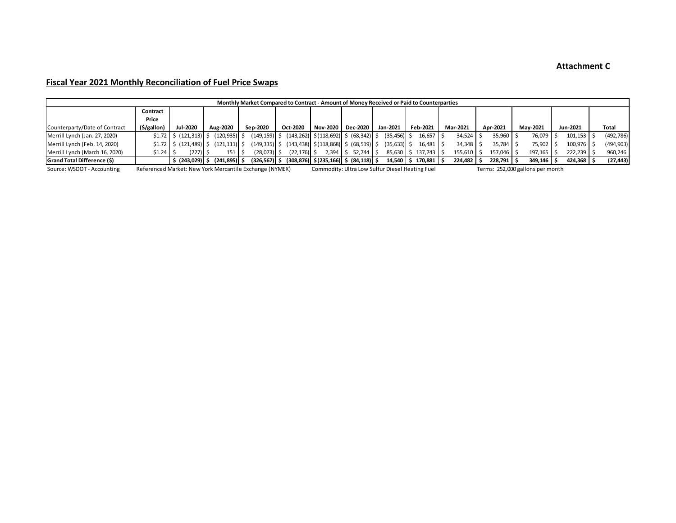#### **Attachment C**

#### **Fiscal Year 2021 Monthly Reconciliation of Fuel Price Swaps**

| Monthly Market Compared to Contract - Amount of Money Received or Paid to Counterparties |             |           |                                                               |                |                                                            |                                                                                     |                          |           |                |                 |          |                |          |            |
|------------------------------------------------------------------------------------------|-------------|-----------|---------------------------------------------------------------|----------------|------------------------------------------------------------|-------------------------------------------------------------------------------------|--------------------------|-----------|----------------|-----------------|----------|----------------|----------|------------|
|                                                                                          | Contract    |           |                                                               |                |                                                            |                                                                                     |                          |           |                |                 |          |                |          |            |
|                                                                                          | Price       |           |                                                               |                |                                                            |                                                                                     |                          |           |                |                 |          |                |          |            |
| Counterparty/Date of Contract                                                            | (\$/gallon) | Jul-2020  | Aug-2020                                                      | Sep-2020       | Oct-2020                                                   | Nov-2020   Dec-2020                                                                 |                          | Jan-2021  | Feb-2021       | <b>Mar-2021</b> | Apr-2021 | Mav-2021       | Jun-2021 | Total      |
| Merrill Lynch (Jan. 27, 2020)                                                            |             |           | $\frac{1}{2}$ (121,313) $\frac{1}{2}$ (120,935) $\frac{1}{2}$ |                | $(149,159)$ \$ $(143,262)$ \$ $(118,692)$ \$ $(68,342)$ \$ |                                                                                     |                          | (35, 456) | $16,657$ \$    | $34.524$ \$     | 35,960   | 76.079 S       | 101.153  | (492, 786) |
| Merrill Lynch (Feb. 14, 2020)                                                            |             |           | $\frac{1}{2}$ (121,489) $\frac{1}{2}$ (121,111) $\frac{1}{2}$ |                | $(149,335)$ \$ $(143,438)$ \$ $(118,868)$ \$ $(68,519)$ \$ |                                                                                     |                          | (35, 633) | $16.481$ \$    | $34.348$ S      | 35.784   | 75.902 S       | 100.976  | (494, 903) |
| Merrill Lynch (March 16, 2020)                                                           | $$1.24$ S   | (227)I \$ | 151                                                           | $(28,073)$ \$  | $(22, 176)$ \$                                             |                                                                                     | $2,394$   \$ 52,744   \$ | 85,630    | \$137,743      | $155,610$ \$    | 157.046  | $197,165$   \$ | 222.239  | 960,246    |
| <b>Grand Total Difference (\$)</b>                                                       |             |           | $\vert$ \$ (243,029) \$ (241,895) \$                          | (326,567)   \$ |                                                            | $(308,876)$ \$(235,166) \$ (84,118) \$                                              |                          | 14.540    | $$170,881$ $$$ | $224,482$ \$    | 228.791  | 349.146 S      | 424.368  | (27, 443)  |
| Referenced Market: New York Mercantile Exchange (NYMEX)<br>Source: WSDOT - Accounting    |             |           |                                                               |                |                                                            | Commodity: Ultra Low Sulfur Diesel Heating Fuel<br>Terms: 252,000 gallons per month |                          |           |                |                 |          |                |          |            |